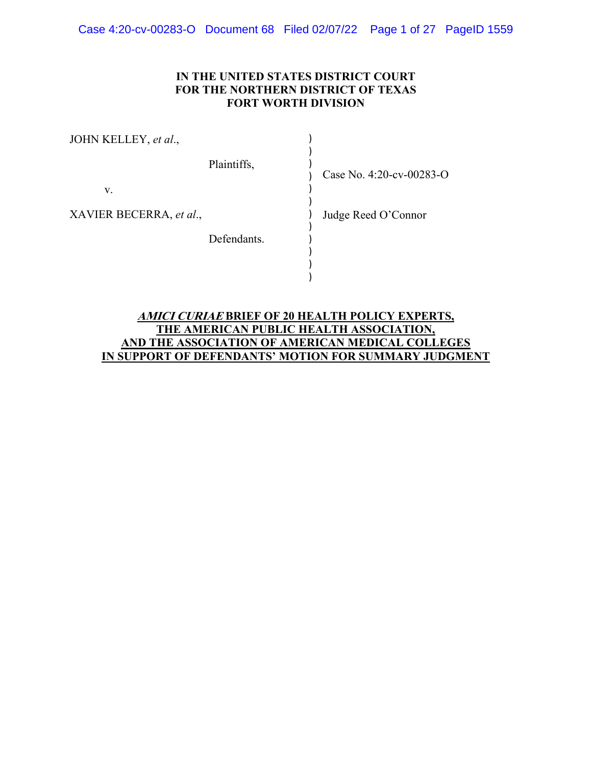## **IN THE UNITED STATES DISTRICT COURT FOR THE NORTHERN DISTRICT OF TEXAS FORT WORTH DIVISION**

| JOHN KELLEY, et al.,    |             |                          |
|-------------------------|-------------|--------------------------|
|                         | Plaintiffs, | Case No. 4:20-cv-00283-O |
| V.                      |             |                          |
| XAVIER BECERRA, et al., |             | Judge Reed O'Connor      |
|                         | Defendants. |                          |
|                         |             |                          |
|                         |             |                          |
|                         |             |                          |

# **AMICI CURIAE BRIEF OF 20 HEALTH POLICY EXPERTS, THE AMERICAN PUBLIC HEALTH ASSOCIATION, AND THE ASSOCIATION OF AMERICAN MEDICAL COLLEGES IN SUPPORT OF DEFENDANTS' MOTION FOR SUMMARY JUDGMENT**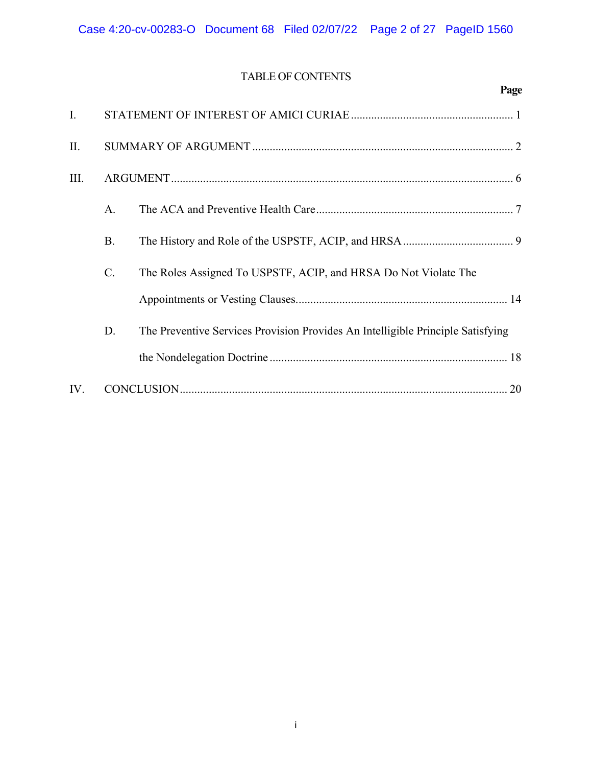# TABLE OF CONTENTS

**Page**

| I.   |           |                                                                                 |
|------|-----------|---------------------------------------------------------------------------------|
| II.  |           |                                                                                 |
| III. |           |                                                                                 |
|      | A.        |                                                                                 |
|      | <b>B.</b> |                                                                                 |
|      | $C$ .     | The Roles Assigned To USPSTF, ACIP, and HRSA Do Not Violate The                 |
|      |           |                                                                                 |
|      | D.        | The Preventive Services Provision Provides An Intelligible Principle Satisfying |
|      |           |                                                                                 |
| IV.  |           |                                                                                 |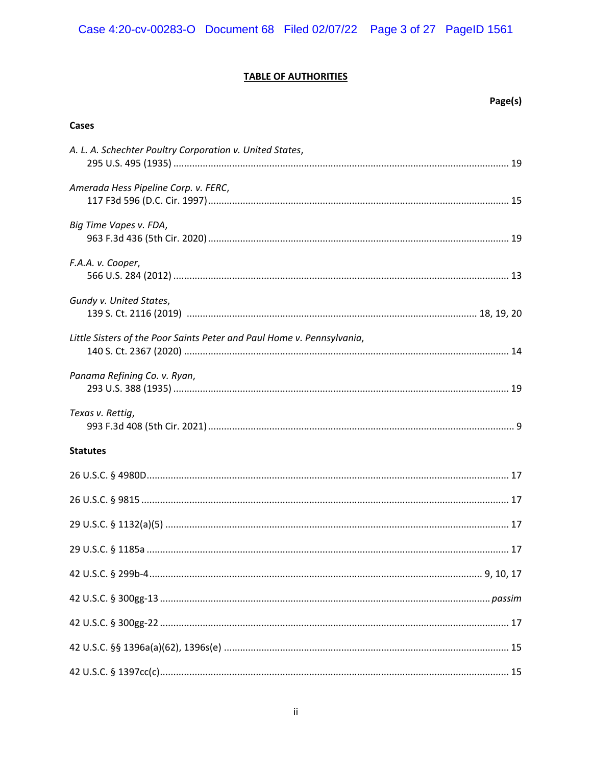# **TABLE OF AUTHORITIES**

Page(s)

| <b>Cases</b>                                                           |  |
|------------------------------------------------------------------------|--|
| A. L. A. Schechter Poultry Corporation v. United States,               |  |
| Amerada Hess Pipeline Corp. v. FERC,                                   |  |
| Big Time Vapes v. FDA,                                                 |  |
| F.A.A. v. Cooper,                                                      |  |
| Gundy v. United States,                                                |  |
| Little Sisters of the Poor Saints Peter and Paul Home v. Pennsylvania, |  |
| Panama Refining Co. v. Ryan,                                           |  |
| Texas v. Rettig,                                                       |  |
| <b>Statutes</b>                                                        |  |
|                                                                        |  |
|                                                                        |  |
|                                                                        |  |
|                                                                        |  |
|                                                                        |  |
|                                                                        |  |
|                                                                        |  |
|                                                                        |  |
|                                                                        |  |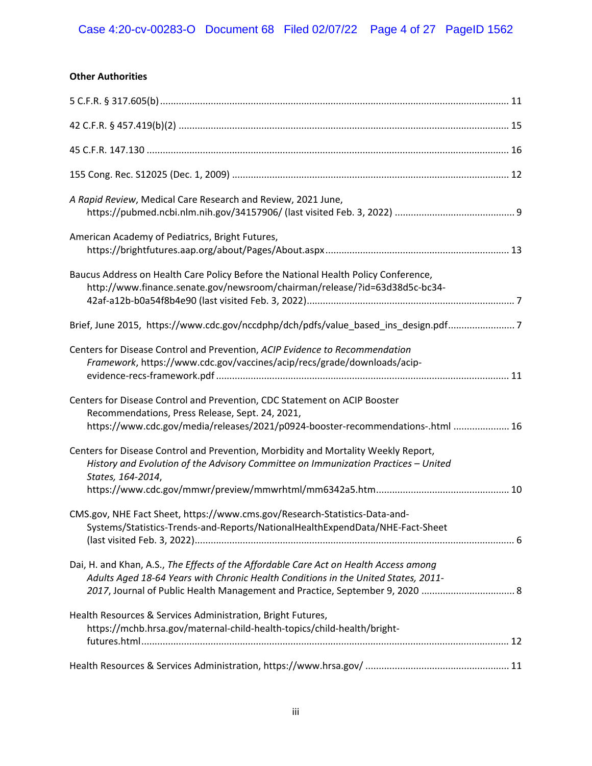## **Other Authorities**

| A Rapid Review, Medical Care Research and Review, 2021 June,                                                                                                                                                    |  |
|-----------------------------------------------------------------------------------------------------------------------------------------------------------------------------------------------------------------|--|
| American Academy of Pediatrics, Bright Futures,                                                                                                                                                                 |  |
| Baucus Address on Health Care Policy Before the National Health Policy Conference,<br>http://www.finance.senate.gov/newsroom/chairman/release/?id=63d38d5c-bc34-                                                |  |
| Brief, June 2015, https://www.cdc.gov/nccdphp/dch/pdfs/value_based_ins_design.pdf7                                                                                                                              |  |
| Centers for Disease Control and Prevention, ACIP Evidence to Recommendation<br>Framework, https://www.cdc.gov/vaccines/acip/recs/grade/downloads/acip-                                                          |  |
| Centers for Disease Control and Prevention, CDC Statement on ACIP Booster<br>Recommendations, Press Release, Sept. 24, 2021,<br>https://www.cdc.gov/media/releases/2021/p0924-booster-recommendations-.html  16 |  |
| Centers for Disease Control and Prevention, Morbidity and Mortality Weekly Report,<br>History and Evolution of the Advisory Committee on Immunization Practices - United<br>States, 164-2014,                   |  |
| CMS.gov, NHE Fact Sheet, https://www.cms.gov/Research-Statistics-Data-and-<br>Systems/Statistics-Trends-and-Reports/NationalHealthExpendData/NHE-Fact-Sheet                                                     |  |
| Dai, H. and Khan, A.S., The Effects of the Affordable Care Act on Health Access among<br>Adults Aged 18-64 Years with Chronic Health Conditions in the United States, 2011-                                     |  |
| Health Resources & Services Administration, Bright Futures,<br>https://mchb.hrsa.gov/maternal-child-health-topics/child-health/bright-                                                                          |  |
|                                                                                                                                                                                                                 |  |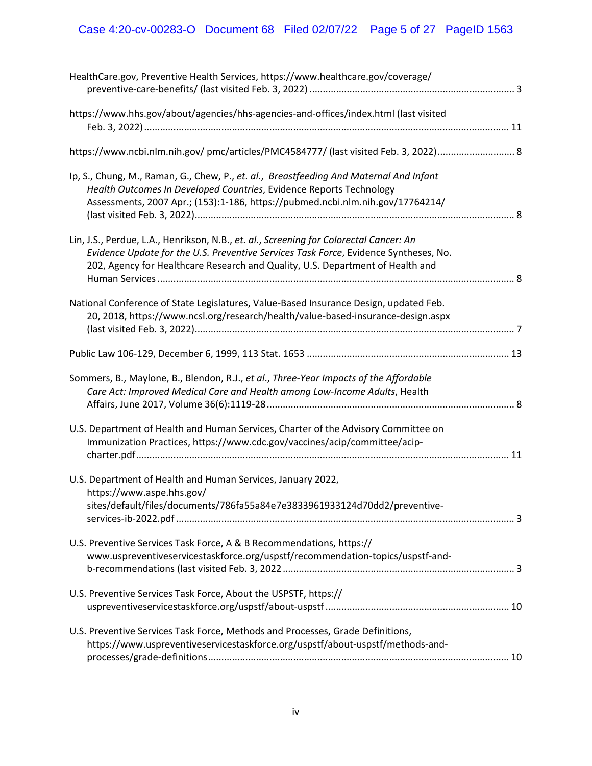# Case 4:20-cv-00283-O Document 68 Filed 02/07/22 Page 5 of 27 PageID 1563

| HealthCare.gov, Preventive Health Services, https://www.healthcare.gov/coverage/                                                                                                                                                                                 |
|------------------------------------------------------------------------------------------------------------------------------------------------------------------------------------------------------------------------------------------------------------------|
| https://www.hhs.gov/about/agencies/hhs-agencies-and-offices/index.html (last visited                                                                                                                                                                             |
|                                                                                                                                                                                                                                                                  |
| Ip, S., Chung, M., Raman, G., Chew, P., et. al., Breastfeeding And Maternal And Infant<br>Health Outcomes In Developed Countries, Evidence Reports Technology<br>Assessments, 2007 Apr.; (153):1-186, https://pubmed.ncbi.nlm.nih.gov/17764214/                  |
| Lin, J.S., Perdue, L.A., Henrikson, N.B., et. al., Screening for Colorectal Cancer: An<br>Evidence Update for the U.S. Preventive Services Task Force, Evidence Syntheses, No.<br>202, Agency for Healthcare Research and Quality, U.S. Department of Health and |
| National Conference of State Legislatures, Value-Based Insurance Design, updated Feb.<br>20, 2018, https://www.ncsl.org/research/health/value-based-insurance-design.aspx                                                                                        |
|                                                                                                                                                                                                                                                                  |
| Sommers, B., Maylone, B., Blendon, R.J., et al., Three-Year Impacts of the Affordable<br>Care Act: Improved Medical Care and Health among Low-Income Adults, Health                                                                                              |
| U.S. Department of Health and Human Services, Charter of the Advisory Committee on<br>Immunization Practices, https://www.cdc.gov/vaccines/acip/committee/acip-                                                                                                  |
| U.S. Department of Health and Human Services, January 2022,<br>https://www.aspe.hhs.gov/<br>sites/default/files/documents/786fa55a84e7e3833961933124d70dd2/preventive-                                                                                           |
| U.S. Preventive Services Task Force, A & B Recommendations, https://<br>www.uspreventiveservicestaskforce.org/uspstf/recommendation-topics/uspstf-and-                                                                                                           |
| U.S. Preventive Services Task Force, About the USPSTF, https://                                                                                                                                                                                                  |
| U.S. Preventive Services Task Force, Methods and Processes, Grade Definitions,<br>https://www.uspreventiveservicestaskforce.org/uspstf/about-uspstf/methods-and-                                                                                                 |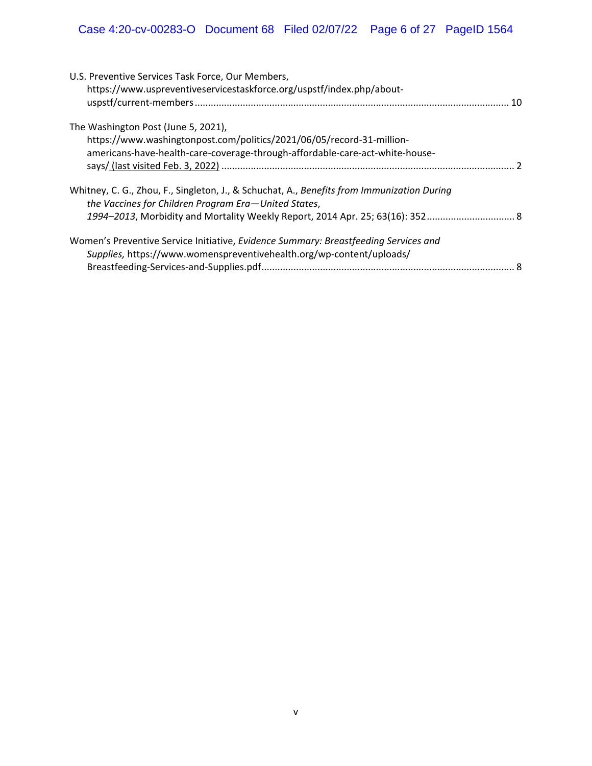# Case 4:20-cv-00283-O Document 68 Filed 02/07/22 Page 6 of 27 PageID 1564

| U.S. Preventive Services Task Force, Our Members,<br>https://www.uspreventiveservicestaskforce.org/uspstf/index.php/about-                                                                   |  |
|----------------------------------------------------------------------------------------------------------------------------------------------------------------------------------------------|--|
| The Washington Post (June 5, 2021),<br>https://www.washingtonpost.com/politics/2021/06/05/record-31-million-<br>americans-have-health-care-coverage-through-affordable-care-act-white-house- |  |
| Whitney, C. G., Zhou, F., Singleton, J., & Schuchat, A., Benefits from Immunization During<br>the Vaccines for Children Program Era-United States,                                           |  |
| Women's Preventive Service Initiative, Evidence Summary: Breastfeeding Services and<br>Supplies, https://www.womenspreventivehealth.org/wp-content/uploads/                                  |  |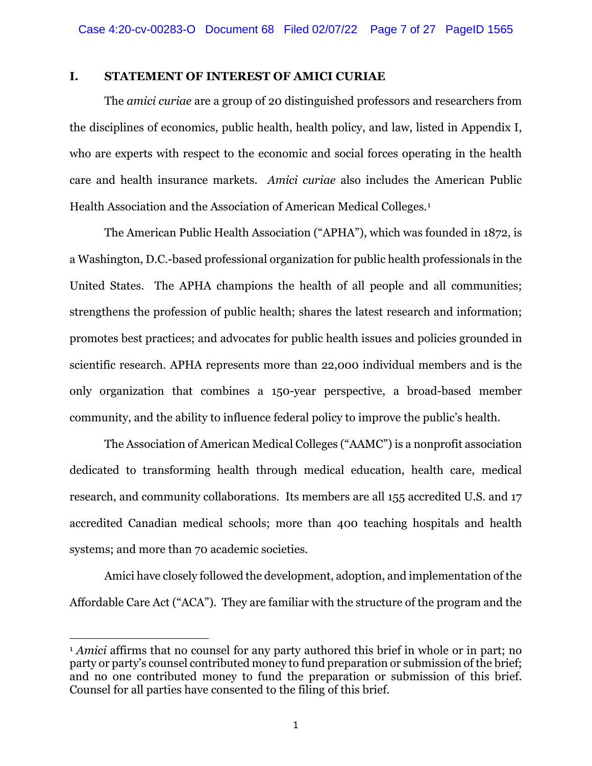# **I. STATEMENT OF INTEREST OF AMICI CURIAE**

The *amici curiae* are a group of 20 distinguished professors and researchers from the disciplines of economics, public health, health policy, and law, listed in Appendix I, who are experts with respect to the economic and social forces operating in the health care and health insurance markets. *Amici curiae* also includes the American Public Health Association and the Association of American Medical Colleges.1

The American Public Health Association ("APHA"), which was founded in 1872, is a Washington, D.C.-based professional organization for public health professionals in the United States. The APHA champions the health of all people and all communities; strengthens the profession of public health; shares the latest research and information; promotes best practices; and advocates for public health issues and policies grounded in scientific research. APHA represents more than 22,000 individual members and is the only organization that combines a 150-year perspective, a broad-based member community, and the ability to influence federal policy to improve the public's health.

The Association of American Medical Colleges ("AAMC") is a nonprofit association dedicated to transforming health through medical education, health care, medical research, and community collaborations. Its members are all 155 accredited U.S. and 17 accredited Canadian medical schools; more than 400 teaching hospitals and health systems; and more than 70 academic societies.

Amici have closely followed the development, adoption, and implementation of the Affordable Care Act ("ACA"). They are familiar with the structure of the program and the

<sup>1</sup> *Amici* affirms that no counsel for any party authored this brief in whole or in part; no party or party's counsel contributed money to fund preparation or submission of the brief; and no one contributed money to fund the preparation or submission of this brief. Counsel for all parties have consented to the filing of this brief.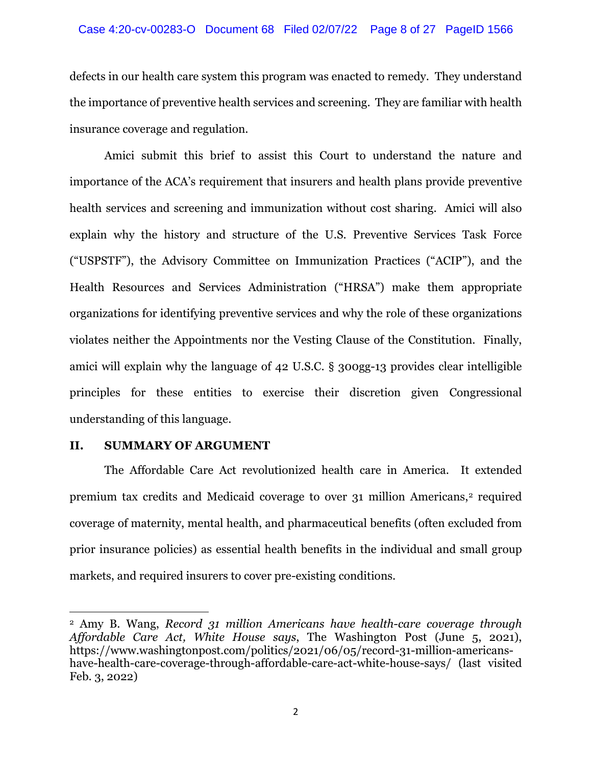#### Case 4:20-cv-00283-O Document 68 Filed 02/07/22 Page 8 of 27 PageID 1566

defects in our health care system this program was enacted to remedy. They understand the importance of preventive health services and screening. They are familiar with health insurance coverage and regulation.

Amici submit this brief to assist this Court to understand the nature and importance of the ACA's requirement that insurers and health plans provide preventive health services and screening and immunization without cost sharing. Amici will also explain why the history and structure of the U.S. Preventive Services Task Force ("USPSTF"), the Advisory Committee on Immunization Practices ("ACIP"), and the Health Resources and Services Administration ("HRSA") make them appropriate organizations for identifying preventive services and why the role of these organizations violates neither the Appointments nor the Vesting Clause of the Constitution. Finally, amici will explain why the language of 42 U.S.C. § 300gg-13 provides clear intelligible principles for these entities to exercise their discretion given Congressional understanding of this language.

## **II. SUMMARY OF ARGUMENT**

The Affordable Care Act revolutionized health care in America. It extended premium tax credits and Medicaid coverage to over 31 million Americans,<sup>2</sup> required coverage of maternity, mental health, and pharmaceutical benefits (often excluded from prior insurance policies) as essential health benefits in the individual and small group markets, and required insurers to cover pre-existing conditions.

<sup>2</sup> Amy B. Wang, *Record 31 million Americans have health-care coverage through Affordable Care Act, White House says*, The Washington Post (June 5, 2021), https://www.washingtonpost.com/politics/2021/06/05/record-31-million-americanshave-health-care-coverage-through-affordable-care-act-white-house-says/ (last visited Feb. 3, 2022)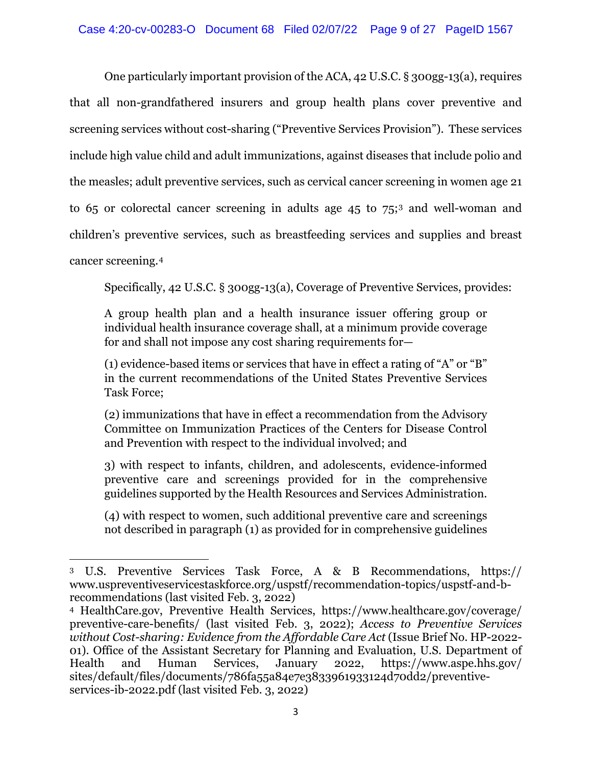One particularly important provision of the ACA, 42 U.S.C. § 300gg-13(a), requires that all non-grandfathered insurers and group health plans cover preventive and screening services without cost-sharing ("Preventive Services Provision"). These services include high value child and adult immunizations, against diseases that include polio and the measles; adult preventive services, such as cervical cancer screening in women age 21 to 65 or colorectal cancer screening in adults age 45 to 75;3 and well-woman and children's preventive services, such as breastfeeding services and supplies and breast cancer screening.4

Specifically, 42 U.S.C. § 300gg-13(a), Coverage of Preventive Services, provides:

A group health plan and a health insurance issuer offering group or individual health insurance coverage shall, at a minimum provide coverage for and shall not impose any cost sharing requirements for—

(1) evidence-based items or services that have in effect a rating of "A" or "B" in the current recommendations of the United States Preventive Services Task Force;

(2) immunizations that have in effect a recommendation from the Advisory Committee on Immunization Practices of the Centers for Disease Control and Prevention with respect to the individual involved; and

3) with respect to infants, children, and adolescents, evidence-informed preventive care and screenings provided for in the comprehensive guidelines supported by the Health Resources and Services Administration.

(4) with respect to women, such additional preventive care and screenings not described in paragraph (1) as provided for in comprehensive guidelines

<sup>3</sup> U.S. Preventive Services Task Force, A & B Recommendations, https:// www.uspreventiveservicestaskforce.org/uspstf/recommendation-topics/uspstf-and-brecommendations (last visited Feb. 3, 2022)

<sup>4</sup> HealthCare.gov, Preventive Health Services, https://www.healthcare.gov/coverage/ preventive-care-benefits/ (last visited Feb. 3, 2022); *Access to Preventive Services without Cost-sharing: Evidence from the Affordable Care Act* (Issue Brief No. HP-2022- 01). Office of the Assistant Secretary for Planning and Evaluation, U.S. Department of Health and Human Services, January 2022, https://www.aspe.hhs.gov/ sites/default/files/documents/786fa55a84e7e3833961933124d70dd2/preventiveservices-ib-2022.pdf (last visited Feb. 3, 2022)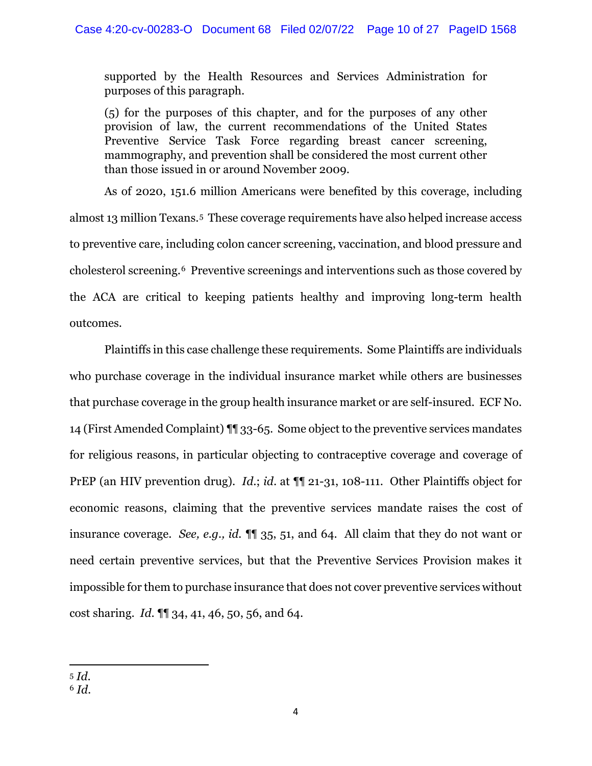supported by the Health Resources and Services Administration for purposes of this paragraph.

(5) for the purposes of this chapter, and for the purposes of any other provision of law, the current recommendations of the United States Preventive Service Task Force regarding breast cancer screening, mammography, and prevention shall be considered the most current other than those issued in or around November 2009.

As of 2020, 151.6 million Americans were benefited by this coverage, including almost 13 million Texans.5 These coverage requirements have also helped increase access to preventive care, including colon cancer screening, vaccination, and blood pressure and cholesterol screening.6 Preventive screenings and interventions such as those covered by the ACA are critical to keeping patients healthy and improving long-term health outcomes.

Plaintiffs in this case challenge these requirements. Some Plaintiffs are individuals who purchase coverage in the individual insurance market while others are businesses that purchase coverage in the group health insurance market or are self-insured. ECF No. 14 (First Amended Complaint) ¶¶ 33-65. Some object to the preventive services mandates for religious reasons, in particular objecting to contraceptive coverage and coverage of PrEP (an HIV prevention drug). *Id.*; *id.* at  $\P$  21-31, 108-111. Other Plaintiffs object for economic reasons, claiming that the preventive services mandate raises the cost of insurance coverage. *See, e.g., id.* ¶¶ 35, 51, and 64. All claim that they do not want or need certain preventive services, but that the Preventive Services Provision makes it impossible for them to purchase insurance that does not cover preventive services without cost sharing. *Id*. ¶¶ 34, 41, 46, 50, 56, and 64.

<sup>5</sup> *Id*.

<sup>6</sup> *Id.*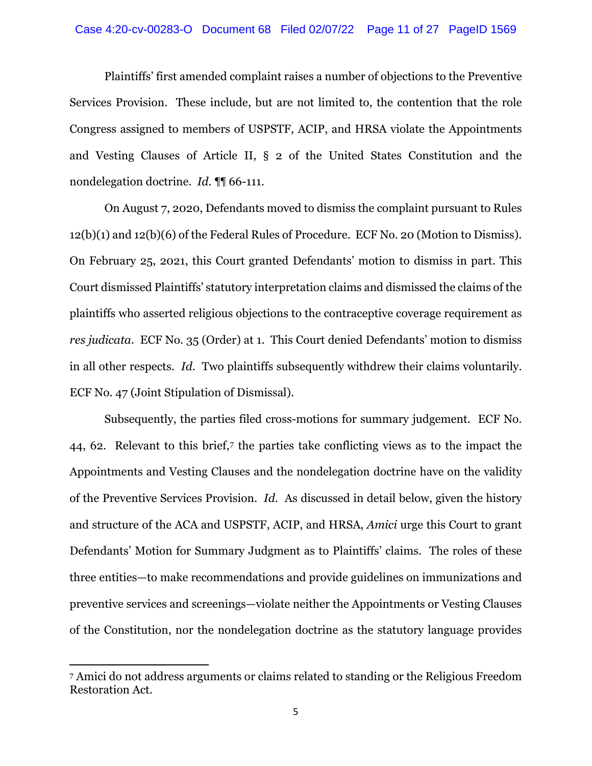#### Case 4:20-cv-00283-O Document 68 Filed 02/07/22 Page 11 of 27 PageID 1569

Plaintiffs' first amended complaint raises a number of objections to the Preventive Services Provision. These include, but are not limited to, the contention that the role Congress assigned to members of USPSTF, ACIP, and HRSA violate the Appointments and Vesting Clauses of Article II, § 2 of the United States Constitution and the nondelegation doctrine. *Id*. ¶¶ 66-111.

On August 7, 2020, Defendants moved to dismiss the complaint pursuant to Rules 12(b)(1) and 12(b)(6) of the Federal Rules of Procedure. ECF No. 20 (Motion to Dismiss). On February 25, 2021, this Court granted Defendants' motion to dismiss in part. This Court dismissed Plaintiffs' statutory interpretation claims and dismissed the claims of the plaintiffs who asserted religious objections to the contraceptive coverage requirement as *res judicata*. ECF No. 35 (Order) at 1. This Court denied Defendants' motion to dismiss in all other respects. *Id*. Two plaintiffs subsequently withdrew their claims voluntarily. ECF No. 47 (Joint Stipulation of Dismissal).

Subsequently, the parties filed cross-motions for summary judgement. ECF No. 44, 62. Relevant to this brief,7 the parties take conflicting views as to the impact the Appointments and Vesting Clauses and the nondelegation doctrine have on the validity of the Preventive Services Provision. *Id*. As discussed in detail below, given the history and structure of the ACA and USPSTF, ACIP, and HRSA, *Amici* urge this Court to grant Defendants' Motion for Summary Judgment as to Plaintiffs' claims. The roles of these three entities—to make recommendations and provide guidelines on immunizations and preventive services and screenings—violate neither the Appointments or Vesting Clauses of the Constitution, nor the nondelegation doctrine as the statutory language provides

<sup>7</sup> Amici do not address arguments or claims related to standing or the Religious Freedom Restoration Act.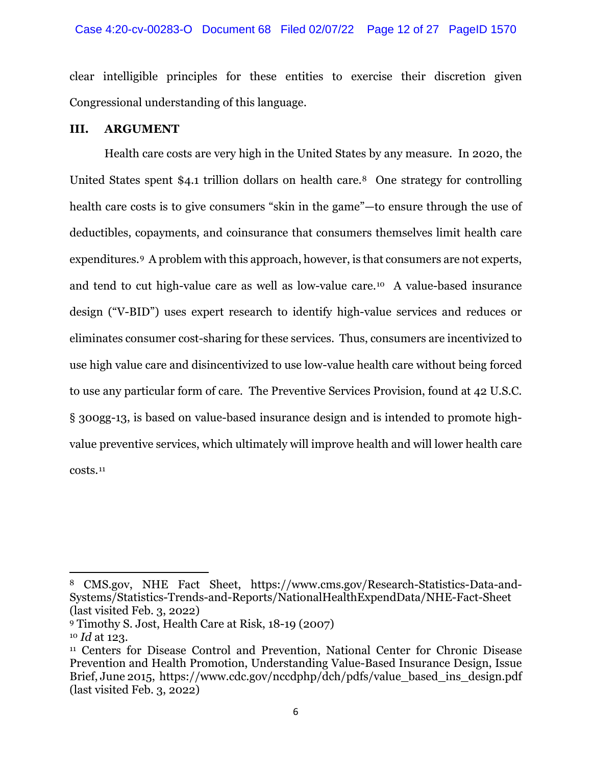#### Case 4:20-cv-00283-O Document 68 Filed 02/07/22 Page 12 of 27 PageID 1570

clear intelligible principles for these entities to exercise their discretion given Congressional understanding of this language.

#### **III. ARGUMENT**

Health care costs are very high in the United States by any measure. In 2020, the United States spent \$4.1 trillion dollars on health care.8 One strategy for controlling health care costs is to give consumers "skin in the game"—to ensure through the use of deductibles, copayments, and coinsurance that consumers themselves limit health care expenditures.9 A problem with this approach, however, is that consumers are not experts, and tend to cut high-value care as well as low-value care.10 A value-based insurance design ("V-BID") uses expert research to identify high-value services and reduces or eliminates consumer cost-sharing for these services. Thus, consumers are incentivized to use high value care and disincentivized to use low-value health care without being forced to use any particular form of care. The Preventive Services Provision, found at 42 U.S.C. § 300gg-13, is based on value-based insurance design and is intended to promote highvalue preventive services, which ultimately will improve health and will lower health care costs.11

<sup>8</sup> CMS.gov, NHE Fact Sheet, https://www.cms.gov/Research-Statistics-Data-and-Systems/Statistics-Trends-and-Reports/NationalHealthExpendData/NHE-Fact-Sheet (last visited Feb. 3, 2022)

<sup>9</sup> Timothy S. Jost, Health Care at Risk, 18-19 (2007)

<sup>10</sup> *Id* at 123.

<sup>11</sup> Centers for Disease Control and Prevention, National Center for Chronic Disease Prevention and Health Promotion, Understanding Value-Based Insurance Design, Issue Brief, June 2015, https://www.cdc.gov/nccdphp/dch/pdfs/value\_based\_ins\_design.pdf (last visited Feb. 3, 2022)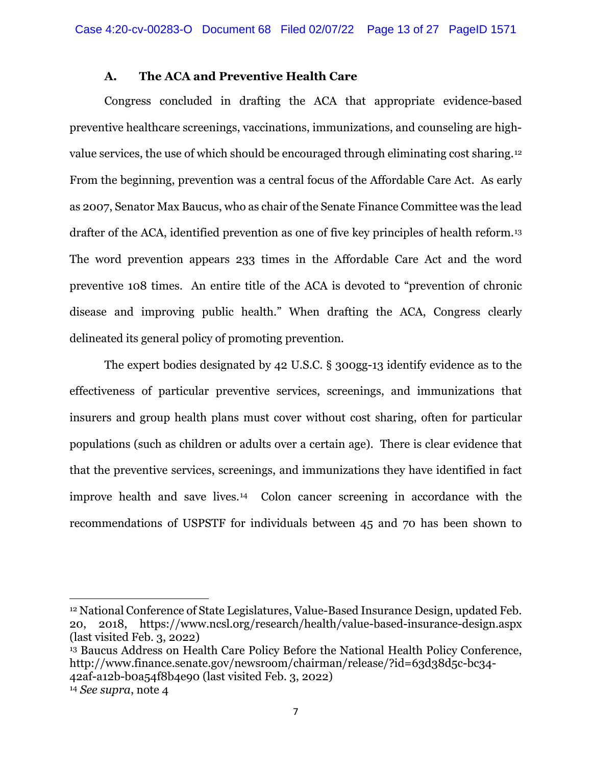### **A. The ACA and Preventive Health Care**

Congress concluded in drafting the ACA that appropriate evidence-based preventive healthcare screenings, vaccinations, immunizations, and counseling are highvalue services, the use of which should be encouraged through eliminating cost sharing.12 From the beginning, prevention was a central focus of the Affordable Care Act. As early as 2007, Senator Max Baucus, who as chair of the Senate Finance Committee was the lead drafter of the ACA, identified prevention as one of five key principles of health reform.13 The word prevention appears 233 times in the Affordable Care Act and the word preventive 108 times. An entire title of the ACA is devoted to "prevention of chronic disease and improving public health." When drafting the ACA, Congress clearly delineated its general policy of promoting prevention.

The expert bodies designated by 42 U.S.C. § 300gg-13 identify evidence as to the effectiveness of particular preventive services, screenings, and immunizations that insurers and group health plans must cover without cost sharing, often for particular populations (such as children or adults over a certain age). There is clear evidence that that the preventive services, screenings, and immunizations they have identified in fact improve health and save lives.14 Colon cancer screening in accordance with the recommendations of USPSTF for individuals between 45 and 70 has been shown to

<sup>13</sup> Baucus Address on Health Care Policy Before the National Health Policy Conference, http://www.finance.senate.gov/newsroom/chairman/release/?id=63d38d5c-bc34- 42af-a12b-b0a54f8b4e90 (last visited Feb. 3, 2022)

<sup>12</sup> National Conference of State Legislatures, Value-Based Insurance Design, updated Feb. 20, 2018, https://www.ncsl.org/research/health/value-based-insurance-design.aspx (last visited Feb. 3, 2022)

<sup>14</sup> *See supra*, note 4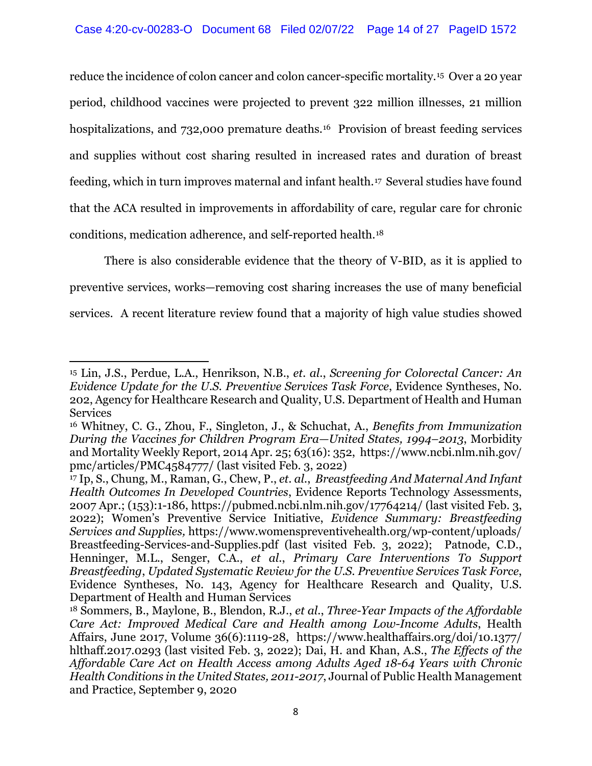reduce the incidence of colon cancer and colon cancer-specific mortality.15 Over a 20 year period, childhood vaccines were projected to prevent 322 million illnesses, 21 million hospitalizations, and 732,000 premature deaths.<sup>16</sup> Provision of breast feeding services and supplies without cost sharing resulted in increased rates and duration of breast feeding, which in turn improves maternal and infant health.17 Several studies have found that the ACA resulted in improvements in affordability of care, regular care for chronic conditions, medication adherence, and self-reported health.18

There is also considerable evidence that the theory of V-BID, as it is applied to preventive services, works—removing cost sharing increases the use of many beneficial services. A recent literature review found that a majority of high value studies showed

<sup>15</sup> Lin, J.S., Perdue, L.A., Henrikson, N.B., *et. al*., *Screening for Colorectal Cancer: An Evidence Update for the U.S. Preventive Services Task Force*, Evidence Syntheses, No. 202, Agency for Healthcare Research and Quality, U.S. Department of Health and Human Services

<sup>16</sup> Whitney, C. G., Zhou, F., Singleton, J., & Schuchat, A., *Benefits from Immunization During the Vaccines for Children Program Era—United States, 1994–2013*, Morbidity and Mortality Weekly Report, 2014 Apr. 25; 63(16): 352, https://www.ncbi.nlm.nih.gov/ pmc/articles/PMC4584777/ (last visited Feb. 3, 2022)

<sup>17</sup> Ip, S., Chung, M., Raman, G., Chew, P., *et. al.*, *Breastfeeding And Maternal And Infant Health Outcomes In Developed Countries*, Evidence Reports Technology Assessments, 2007 Apr.; (153):1-186, https://pubmed.ncbi.nlm.nih.gov/17764214/ (last visited Feb. 3, 2022); Women's Preventive Service Initiative, *Evidence Summary: Breastfeeding Services and Supplies,* https://www.womenspreventivehealth.org/wp-content/uploads/ Breastfeeding-Services-and-Supplies.pdf (last visited Feb. 3, 2022); Patnode, C.D., Henninger, M.L., Senger, C.A., *et al*., *Primary Care Interventions To Support Breastfeeding*, *Updated Systematic Review for the U.S. Preventive Services Task Force*, Evidence Syntheses, No. 143, Agency for Healthcare Research and Quality, U.S. Department of Health and Human Services

<sup>18</sup> Sommers, B., Maylone, B., Blendon, R.J., *et al*., *Three-Year Impacts of the Affordable Care Act: Improved Medical Care and Health among Low-Income Adults*, Health Affairs, June 2017, Volume 36(6):1119-28, https://www.healthaffairs.org/doi/10.1377/ hlthaff.2017.0293 (last visited Feb. 3, 2022); Dai, H. and Khan, A.S., *The Effects of the Affordable Care Act on Health Access among Adults Aged 18-64 Years with Chronic Health Conditions in the United States, 2011-2017*, Journal of Public Health Management and Practice, September 9, 2020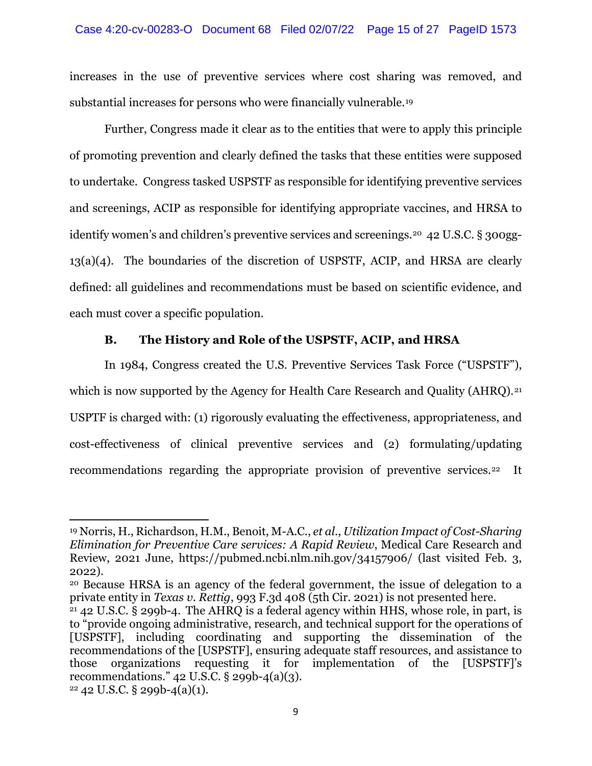#### Case 4:20-cv-00283-O Document 68 Filed 02/07/22 Page 15 of 27 PageID 1573

increases in the use of preventive services where cost sharing was removed, and substantial increases for persons who were financially vulnerable.19

Further, Congress made it clear as to the entities that were to apply this principle of promoting prevention and clearly defined the tasks that these entities were supposed to undertake. Congress tasked USPSTF as responsible for identifying preventive services and screenings, ACIP as responsible for identifying appropriate vaccines, and HRSA to identify women's and children's preventive services and screenings.20 42 U.S.C. § 300gg- $13(a)(4)$ . The boundaries of the discretion of USPSTF, ACIP, and HRSA are clearly defined: all guidelines and recommendations must be based on scientific evidence, and each must cover a specific population.

#### **B. The History and Role of the USPSTF, ACIP, and HRSA**

In 1984, Congress created the U.S. Preventive Services Task Force ("USPSTF"), which is now supported by the Agency for Health Care Research and Quality (AHRQ).<sup>21</sup> USPTF is charged with: (1) rigorously evaluating the effectiveness, appropriateness, and cost-effectiveness of clinical preventive services and (2) formulating/updating recommendations regarding the appropriate provision of preventive services.<sup>22</sup> It

<sup>19</sup> Norris, H., Richardson, H.M., Benoit, M-A.C., *et al*., *Utilization Impact of Cost-Sharing Elimination for Preventive Care services: A Rapid Review*, Medical Care Research and Review, 2021 June, https://pubmed.ncbi.nlm.nih.gov/34157906/ (last visited Feb. 3, 2022).

<sup>20</sup> Because HRSA is an agency of the federal government, the issue of delegation to a private entity in *Texas v. Rettig*, 993 F.3d 408 (5th Cir. 2021) is not presented here.

 $21$  42 U.S.C. § 299b-4. The AHRQ is a federal agency within HHS, whose role, in part, is to "provide ongoing administrative, research, and technical support for the operations of [USPSTF], including coordinating and supporting the dissemination of the recommendations of the [USPSTF], ensuring adequate staff resources, and assistance to those organizations requesting it for implementation of the [USPSTF]'s recommendations." 42 U.S.C. § 299b-4(a)(3).  $22\,42$  U.S.C. § 299b-4(a)(1).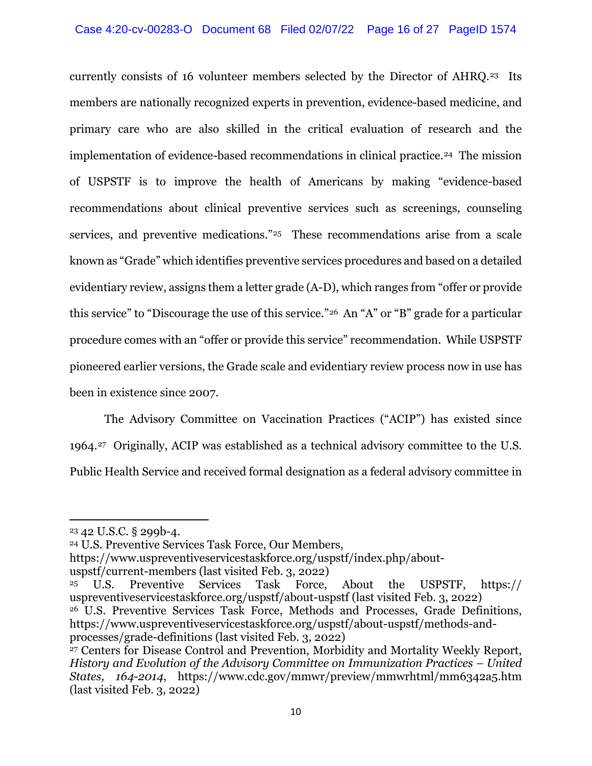#### Case 4:20-cv-00283-O Document 68 Filed 02/07/22 Page 16 of 27 PageID 1574

currently consists of 16 volunteer members selected by the Director of AHRQ.23 Its members are nationally recognized experts in prevention, evidence-based medicine, and primary care who are also skilled in the critical evaluation of research and the implementation of evidence-based recommendations in clinical practice.24 The mission of USPSTF is to improve the health of Americans by making "evidence-based recommendations about clinical preventive services such as screenings, counseling services, and preventive medications."25 These recommendations arise from a scale known as "Grade" which identifies preventive services procedures and based on a detailed evidentiary review, assigns them a letter grade (A-D), which ranges from "offer or provide this service" to "Discourage the use of this service."26 An "A" or "B" grade for a particular procedure comes with an "offer or provide this service" recommendation. While USPSTF pioneered earlier versions, the Grade scale and evidentiary review process now in use has been in existence since 2007.

The Advisory Committee on Vaccination Practices ("ACIP") has existed since 1964.27 Originally, ACIP was established as a technical advisory committee to the U.S. Public Health Service and received formal designation as a federal advisory committee in

<sup>23</sup> 42 U.S.C. § 299b-4.

<sup>24</sup> U.S. Preventive Services Task Force, Our Members,

https://www.uspreventiveservicestaskforce.org/uspstf/index.php/about-

uspstf/current-members (last visited Feb. 3, 2022)

<sup>25</sup> U.S. Preventive Services Task Force, About the USPSTF, https:// uspreventiveservicestaskforce.org/uspstf/about-uspstf (last visited Feb. 3, 2022) <sup>26</sup> U.S. Preventive Services Task Force, Methods and Processes, Grade Definitions, https://www.uspreventiveservicestaskforce.org/uspstf/about-uspstf/methods-andprocesses/grade-definitions (last visited Feb. 3, 2022)

 $27$  Centers for Disease Control and Prevention, Morbidity and Mortality Weekly Report, *History and Evolution of the Advisory Committee on Immunization Practices – United States, 164-2014*, https://www.cdc.gov/mmwr/preview/mmwrhtml/mm6342a5.htm (last visited Feb. 3, 2022)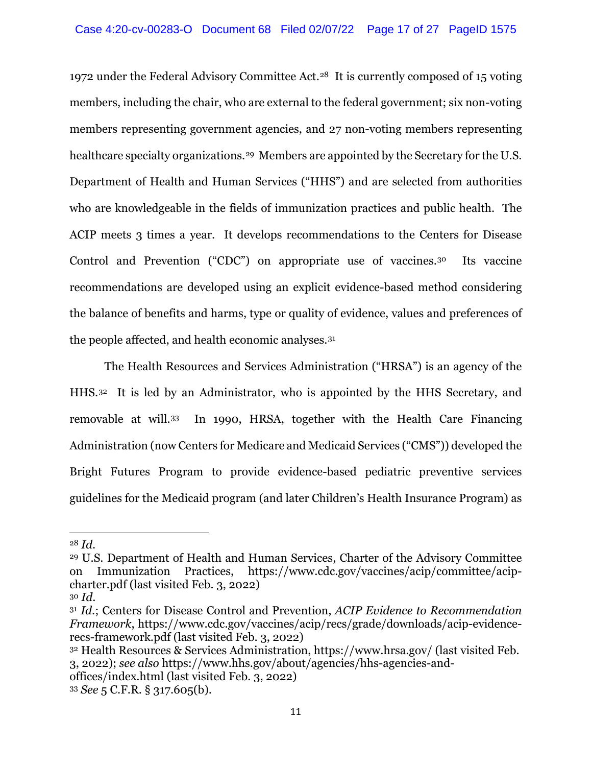1972 under the Federal Advisory Committee Act.28 It is currently composed of 15 voting members, including the chair, who are external to the federal government; six non-voting members representing government agencies, and 27 non-voting members representing healthcare specialty organizations.<sup>29</sup> Members are appointed by the Secretary for the U.S. Department of Health and Human Services ("HHS") and are selected from authorities who are knowledgeable in the fields of immunization practices and public health. The ACIP meets 3 times a year. It develops recommendations to the Centers for Disease Control and Prevention ("CDC") on appropriate use of vaccines.30 Its vaccine recommendations are developed using an explicit evidence-based method considering the balance of benefits and harms, type or quality of evidence, values and preferences of the people affected, and health economic analyses.31

The Health Resources and Services Administration ("HRSA") is an agency of the HHS.32 It is led by an Administrator, who is appointed by the HHS Secretary, and removable at will.33 In 1990, HRSA, together with the Health Care Financing Administration (now Centers for Medicare and Medicaid Services ("CMS")) developed the Bright Futures Program to provide evidence-based pediatric preventive services guidelines for the Medicaid program (and later Children's Health Insurance Program) as

<sup>28</sup> *Id*.

<sup>29</sup> U.S. Department of Health and Human Services, Charter of the Advisory Committee on Immunization Practices, https://www.cdc.gov/vaccines/acip/committee/acipcharter.pdf (last visited Feb. 3, 2022)

<sup>30</sup> *Id*.

<sup>31</sup> *Id*.; Centers for Disease Control and Prevention, *ACIP Evidence to Recommendation Framework*, https://www.cdc.gov/vaccines/acip/recs/grade/downloads/acip-evidencerecs-framework.pdf (last visited Feb. 3, 2022)

<sup>32</sup> Health Resources & Services Administration, https://www.hrsa.gov/ (last visited Feb. 3, 2022); *see also* https://www.hhs.gov/about/agencies/hhs-agencies-and-

offices/index.html (last visited Feb. 3, 2022)

<sup>33</sup> *See* 5 C.F.R. § 317.605(b).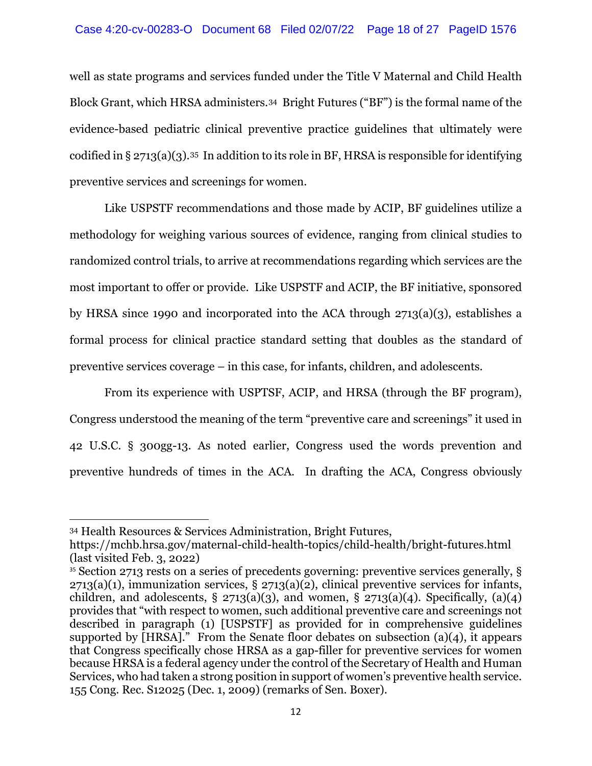#### Case 4:20-cv-00283-O Document 68 Filed 02/07/22 Page 18 of 27 PageID 1576

well as state programs and services funded under the Title V Maternal and Child Health Block Grant, which HRSA administers.34 Bright Futures ("BF") is the formal name of the evidence-based pediatric clinical preventive practice guidelines that ultimately were codified in  $\S 2713(a)(3)$ .<sup>35</sup> In addition to its role in BF, HRSA is responsible for identifying preventive services and screenings for women.

Like USPSTF recommendations and those made by ACIP, BF guidelines utilize a methodology for weighing various sources of evidence, ranging from clinical studies to randomized control trials, to arrive at recommendations regarding which services are the most important to offer or provide. Like USPSTF and ACIP, the BF initiative, sponsored by HRSA since 1990 and incorporated into the ACA through 2713(a)(3), establishes a formal process for clinical practice standard setting that doubles as the standard of preventive services coverage – in this case, for infants, children, and adolescents.

From its experience with USPTSF, ACIP, and HRSA (through the BF program), Congress understood the meaning of the term "preventive care and screenings" it used in 42 U.S.C. § 300gg-13. As noted earlier, Congress used the words prevention and preventive hundreds of times in the ACA. In drafting the ACA, Congress obviously

<sup>34</sup> Health Resources & Services Administration, Bright Futures,

https://mchb.hrsa.gov/maternal-child-health-topics/child-health/bright-futures.html (last visited Feb. 3, 2022)

<sup>&</sup>lt;sup>35</sup> Section 2713 rests on a series of precedents governing: preventive services generally, §  $2713(a)(1)$ , immunization services, §  $2713(a)(2)$ , clinical preventive services for infants, children, and adolescents, § 2713(a)(3), and women, § 2713(a)(4). Specifically, (a)(4) provides that "with respect to women, such additional preventive care and screenings not described in paragraph (1) [USPSTF] as provided for in comprehensive guidelines supported by [HRSA]." From the Senate floor debates on subsection  $(a)(4)$ , it appears that Congress specifically chose HRSA as a gap-filler for preventive services for women because HRSA is a federal agency under the control of the Secretary of Health and Human Services, who had taken a strong position in support of women's preventive health service. 155 Cong. Rec. S12025 (Dec. 1, 2009) (remarks of Sen. Boxer).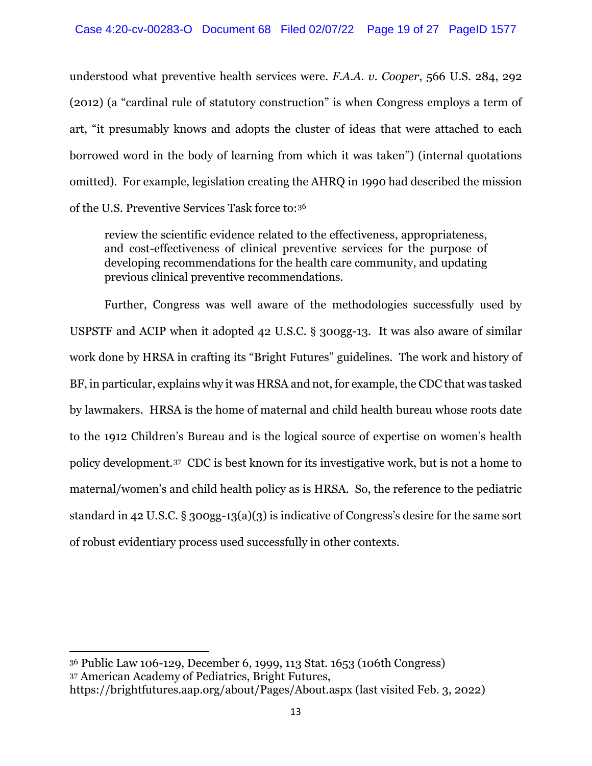understood what preventive health services were. *F.A.A. v. Cooper*, 566 U.S. 284, 292 (2012) (a "cardinal rule of statutory construction" is when Congress employs a term of art, "it presumably knows and adopts the cluster of ideas that were attached to each borrowed word in the body of learning from which it was taken") (internal quotations omitted). For example, legislation creating the AHRQ in 1990 had described the mission of the U.S. Preventive Services Task force to:36

review the scientific evidence related to the effectiveness, appropriateness, and cost-effectiveness of clinical preventive services for the purpose of developing recommendations for the health care community, and updating previous clinical preventive recommendations.

Further, Congress was well aware of the methodologies successfully used by USPSTF and ACIP when it adopted 42 U.S.C. § 300gg-13. It was also aware of similar work done by HRSA in crafting its "Bright Futures" guidelines. The work and history of BF, in particular, explains why it was HRSA and not, for example, the CDC that was tasked by lawmakers. HRSA is the home of maternal and child health bureau whose roots date to the 1912 Children's Bureau and is the logical source of expertise on women's health policy development.37 CDC is best known for its investigative work, but is not a home to maternal/women's and child health policy as is HRSA. So, the reference to the pediatric standard in 42 U.S.C. § 300gg-13(a)(3) is indicative of Congress's desire for the same sort of robust evidentiary process used successfully in other contexts.

<sup>36</sup> Public Law 106-129, December 6, 1999, 113 Stat. 1653 (106th Congress) <sup>37</sup> American Academy of Pediatrics, Bright Futures, https://brightfutures.aap.org/about/Pages/About.aspx (last visited Feb. 3, 2022)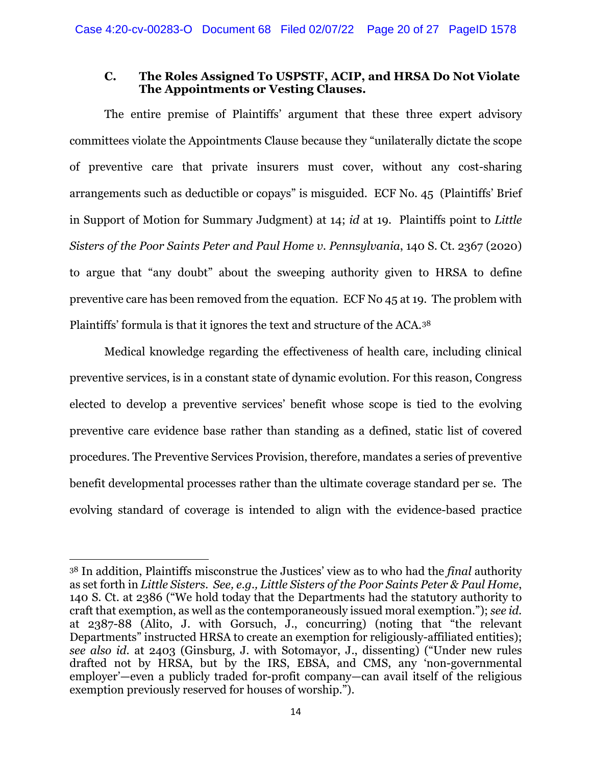#### **C. The Roles Assigned To USPSTF, ACIP, and HRSA Do Not Violate The Appointments or Vesting Clauses.**

The entire premise of Plaintiffs' argument that these three expert advisory committees violate the Appointments Clause because they "unilaterally dictate the scope of preventive care that private insurers must cover, without any cost-sharing arrangements such as deductible or copays" is misguided. ECF No. 45 (Plaintiffs' Brief in Support of Motion for Summary Judgment) at 14; *id* at 19. Plaintiffs point to *Little Sisters of the Poor Saints Peter and Paul Home v. Pennsylvania*, 140 S. Ct. 2367 (2020) to argue that "any doubt" about the sweeping authority given to HRSA to define preventive care has been removed from the equation. ECF No 45 at 19. The problem with Plaintiffs' formula is that it ignores the text and structure of the ACA.38

Medical knowledge regarding the effectiveness of health care, including clinical preventive services, is in a constant state of dynamic evolution. For this reason, Congress elected to develop a preventive services' benefit whose scope is tied to the evolving preventive care evidence base rather than standing as a defined, static list of covered procedures. The Preventive Services Provision, therefore, mandates a series of preventive benefit developmental processes rather than the ultimate coverage standard per se. The evolving standard of coverage is intended to align with the evidence-based practice

<sup>38</sup> In addition, Plaintiffs misconstrue the Justices' view as to who had the *final* authority as set forth in *Little Sisters*. *See, e.g., Little Sisters of the Poor Saints Peter & Paul Home*, 140 S. Ct. at 2386 ("We hold today that the Departments had the statutory authority to craft that exemption, as well as the contemporaneously issued moral exemption."); *see id.*  at 2387-88 (Alito, J. with Gorsuch, J., concurring) (noting that "the relevant Departments" instructed HRSA to create an exemption for religiously-affiliated entities); *see also id*. at 2403 (Ginsburg, J. with Sotomayor, J., dissenting) ("Under new rules drafted not by HRSA, but by the IRS, EBSA, and CMS, any 'non-governmental employer'—even a publicly traded for-profit company—can avail itself of the religious exemption previously reserved for houses of worship.").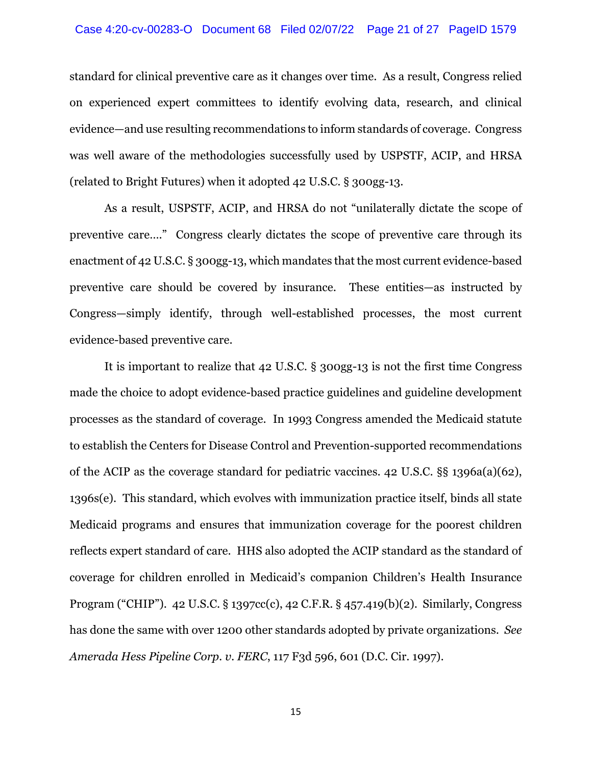#### Case 4:20-cv-00283-O Document 68 Filed 02/07/22 Page 21 of 27 PageID 1579

standard for clinical preventive care as it changes over time. As a result, Congress relied on experienced expert committees to identify evolving data, research, and clinical evidence—and use resulting recommendations to inform standards of coverage. Congress was well aware of the methodologies successfully used by USPSTF, ACIP, and HRSA (related to Bright Futures) when it adopted 42 U.S.C. § 300gg-13.

As a result, USPSTF, ACIP, and HRSA do not "unilaterally dictate the scope of preventive care…." Congress clearly dictates the scope of preventive care through its enactment of 42 U.S.C. § 300gg-13, which mandates that the most current evidence-based preventive care should be covered by insurance. These entities—as instructed by Congress—simply identify, through well-established processes, the most current evidence-based preventive care.

It is important to realize that 42 U.S.C. § 300gg-13 is not the first time Congress made the choice to adopt evidence-based practice guidelines and guideline development processes as the standard of coverage. In 1993 Congress amended the Medicaid statute to establish the Centers for Disease Control and Prevention-supported recommendations of the ACIP as the coverage standard for pediatric vaccines. 42 U.S.C. §§ 1396a(a)(62), 1396s(e). This standard, which evolves with immunization practice itself, binds all state Medicaid programs and ensures that immunization coverage for the poorest children reflects expert standard of care. HHS also adopted the ACIP standard as the standard of coverage for children enrolled in Medicaid's companion Children's Health Insurance Program ("CHIP"). 42 U.S.C. § 1397cc(c), 42 C.F.R. § 457.419(b)(2). Similarly, Congress has done the same with over 1200 other standards adopted by private organizations. *See Amerada Hess Pipeline Corp. v. FERC*, 117 F3d 596, 601 (D.C. Cir. 1997).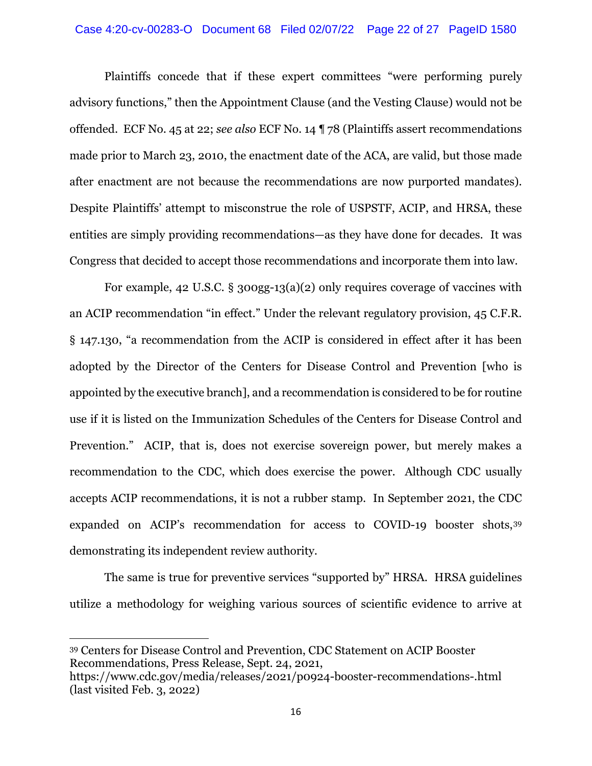#### Case 4:20-cv-00283-O Document 68 Filed 02/07/22 Page 22 of 27 PageID 1580

Plaintiffs concede that if these expert committees "were performing purely advisory functions," then the Appointment Clause (and the Vesting Clause) would not be offended. ECF No. 45 at 22; *see also* ECF No. 14 ¶ 78 (Plaintiffs assert recommendations made prior to March 23, 2010, the enactment date of the ACA, are valid, but those made after enactment are not because the recommendations are now purported mandates). Despite Plaintiffs' attempt to misconstrue the role of USPSTF, ACIP, and HRSA, these entities are simply providing recommendations—as they have done for decades. It was Congress that decided to accept those recommendations and incorporate them into law.

For example, 42 U.S.C. § 300gg-13(a)(2) only requires coverage of vaccines with an ACIP recommendation "in effect." Under the relevant regulatory provision, 45 C.F.R. § 147.130, "a recommendation from the ACIP is considered in effect after it has been adopted by the Director of the Centers for Disease Control and Prevention [who is appointed by the executive branch], and a recommendation is considered to be for routine use if it is listed on the Immunization Schedules of the Centers for Disease Control and Prevention." ACIP, that is, does not exercise sovereign power, but merely makes a recommendation to the CDC, which does exercise the power. Although CDC usually accepts ACIP recommendations, it is not a rubber stamp. In September 2021, the CDC expanded on ACIP's recommendation for access to COVID-19 booster shots,39 demonstrating its independent review authority.

The same is true for preventive services "supported by" HRSA. HRSA guidelines utilize a methodology for weighing various sources of scientific evidence to arrive at

<sup>39</sup> Centers for Disease Control and Prevention, CDC Statement on ACIP Booster Recommendations, Press Release, Sept. 24, 2021,

https://www.cdc.gov/media/releases/2021/p0924-booster-recommendations-.html (last visited Feb. 3, 2022)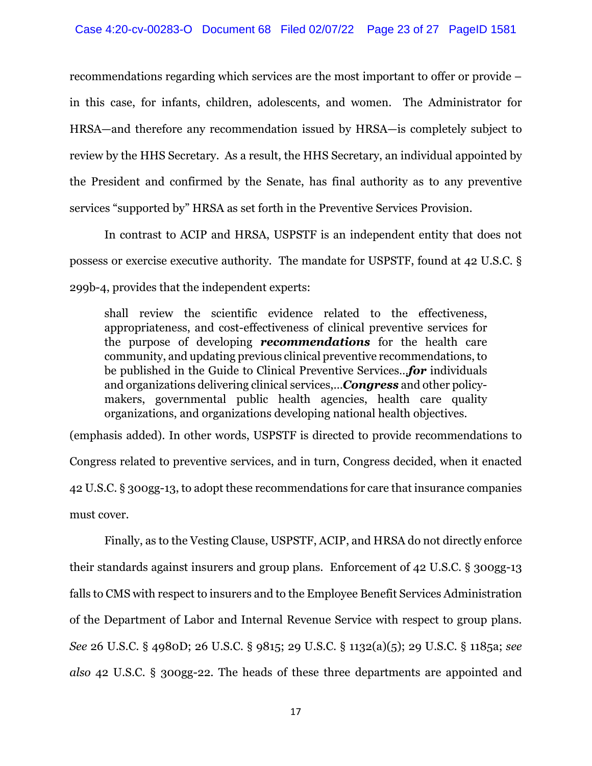recommendations regarding which services are the most important to offer or provide – in this case, for infants, children, adolescents, and women. The Administrator for HRSA—and therefore any recommendation issued by HRSA—is completely subject to review by the HHS Secretary. As a result, the HHS Secretary, an individual appointed by the President and confirmed by the Senate, has final authority as to any preventive services "supported by" HRSA as set forth in the Preventive Services Provision.

In contrast to ACIP and HRSA, USPSTF is an independent entity that does not possess or exercise executive authority. The mandate for USPSTF, found at 42 U.S.C. § 299b-4, provides that the independent experts:

shall review the scientific evidence related to the effectiveness, appropriateness, and cost-effectiveness of clinical preventive services for the purpose of developing *recommendations* for the health care community, and updating previous clinical preventive recommendations, to be published in the Guide to Clinical Preventive Services…*for* individuals and organizations delivering clinical services,…*Congress* and other policymakers, governmental public health agencies, health care quality organizations, and organizations developing national health objectives.

(emphasis added). In other words, USPSTF is directed to provide recommendations to Congress related to preventive services, and in turn, Congress decided, when it enacted 42 U.S.C. § 300gg-13, to adopt these recommendations for care that insurance companies must cover.

Finally, as to the Vesting Clause, USPSTF, ACIP, and HRSA do not directly enforce their standards against insurers and group plans. Enforcement of 42 U.S.C. § 300gg-13 falls to CMS with respect to insurers and to the Employee Benefit Services Administration of the Department of Labor and Internal Revenue Service with respect to group plans. *See* 26 U.S.C. § 4980D; 26 U.S.C. § 9815; 29 U.S.C. § 1132(a)(5); 29 U.S.C. § 1185a; *see also* 42 U.S.C. § 300gg-22. The heads of these three departments are appointed and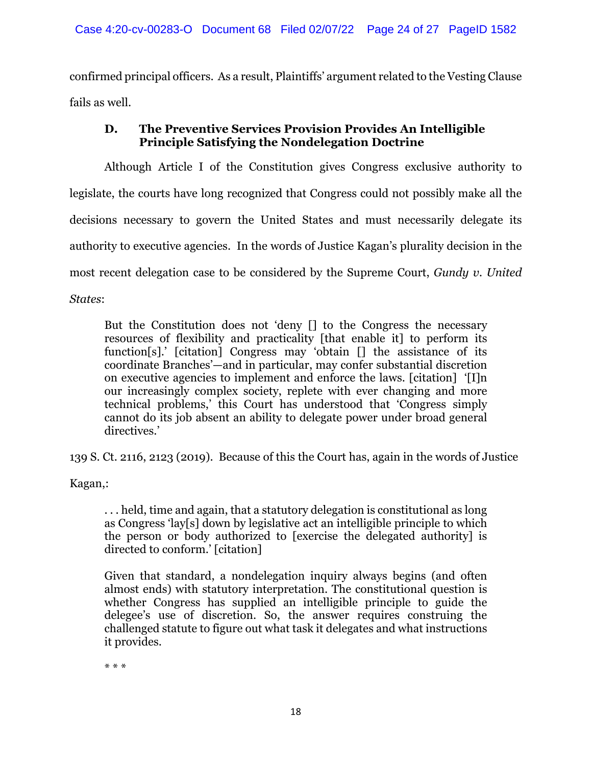confirmed principal officers. As a result, Plaintiffs' argument related to the Vesting Clause fails as well.

# **D. The Preventive Services Provision Provides An Intelligible Principle Satisfying the Nondelegation Doctrine**

Although Article I of the Constitution gives Congress exclusive authority to legislate, the courts have long recognized that Congress could not possibly make all the decisions necessary to govern the United States and must necessarily delegate its authority to executive agencies. In the words of Justice Kagan's plurality decision in the most recent delegation case to be considered by the Supreme Court, *Gundy v. United States*:

But the Constitution does not 'deny [] to the Congress the necessary resources of flexibility and practicality [that enable it] to perform its function[s].' [citation] Congress may 'obtain [] the assistance of its coordinate Branches'—and in particular, may confer substantial discretion on executive agencies to implement and enforce the laws. [citation] '[I]n our increasingly complex society, replete with ever changing and more technical problems,' this Court has understood that 'Congress simply cannot do its job absent an ability to delegate power under broad general directives.'

139 S. Ct. 2116, 2123 (2019). Because of this the Court has, again in the words of Justice

Kagan,:

. . . held, time and again, that a statutory delegation is constitutional as long as Congress 'lay[s] down by legislative act an intelligible principle to which the person or body authorized to [exercise the delegated authority] is directed to conform.' [citation]

Given that standard, a nondelegation inquiry always begins (and often almost ends) with statutory interpretation. The constitutional question is whether Congress has supplied an intelligible principle to guide the delegee's use of discretion. So, the answer requires construing the challenged statute to figure out what task it delegates and what instructions it provides.

\* \* \*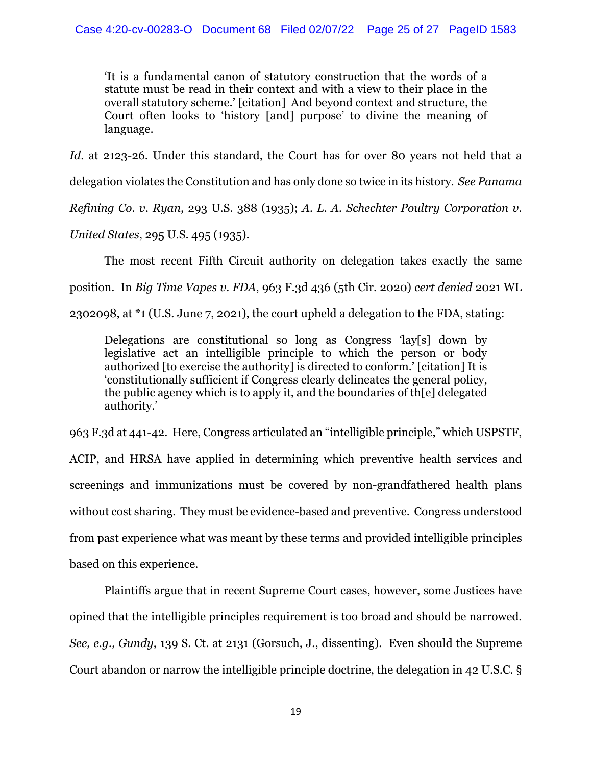'It is a fundamental canon of statutory construction that the words of a statute must be read in their context and with a view to their place in the overall statutory scheme.' [citation] And beyond context and structure, the Court often looks to 'history [and] purpose' to divine the meaning of language.

*Id.* at 2123-26. Under this standard, the Court has for over 80 years not held that a

delegation violates the Constitution and has only done so twice in its history. *See Panama* 

*Refining Co. v. Ryan*, 293 U.S. 388 (1935); *A. L. A. Schechter Poultry Corporation v.* 

*United States*, 295 U.S. 495 (1935).

The most recent Fifth Circuit authority on delegation takes exactly the same

position. In *Big Time Vapes v. FDA*, 963 F.3d 436 (5th Cir. 2020) *cert denied* 2021 WL

2302098, at \*1 (U.S. June 7, 2021), the court upheld a delegation to the FDA, stating:

Delegations are constitutional so long as Congress 'lay[s] down by legislative act an intelligible principle to which the person or body authorized [to exercise the authority] is directed to conform.' [citation] It is 'constitutionally sufficient if Congress clearly delineates the general policy, the public agency which is to apply it, and the boundaries of th[e] delegated authority.'

963 F.3d at 441-42. Here, Congress articulated an "intelligible principle," which USPSTF, ACIP, and HRSA have applied in determining which preventive health services and screenings and immunizations must be covered by non-grandfathered health plans without cost sharing. They must be evidence-based and preventive. Congress understood from past experience what was meant by these terms and provided intelligible principles based on this experience.

Plaintiffs argue that in recent Supreme Court cases, however, some Justices have opined that the intelligible principles requirement is too broad and should be narrowed. *See, e.g., Gundy*, 139 S. Ct. at 2131 (Gorsuch, J., dissenting). Even should the Supreme Court abandon or narrow the intelligible principle doctrine, the delegation in 42 U.S.C. §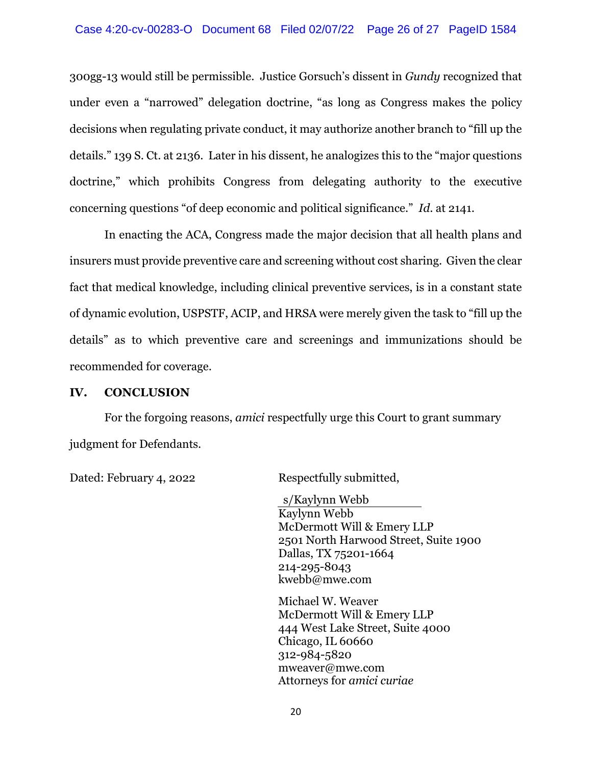#### Case 4:20-cv-00283-O Document 68 Filed 02/07/22 Page 26 of 27 PageID 1584

300gg-13 would still be permissible. Justice Gorsuch's dissent in *Gundy* recognized that under even a "narrowed" delegation doctrine, "as long as Congress makes the policy decisions when regulating private conduct, it may authorize another branch to "fill up the details." 139 S. Ct. at 2136. Later in his dissent, he analogizes this to the "major questions doctrine," which prohibits Congress from delegating authority to the executive concerning questions "of deep economic and political significance." *Id*. at 2141.

In enacting the ACA, Congress made the major decision that all health plans and insurers must provide preventive care and screening without cost sharing. Given the clear fact that medical knowledge, including clinical preventive services, is in a constant state of dynamic evolution, USPSTF, ACIP, and HRSA were merely given the task to "fill up the details" as to which preventive care and screenings and immunizations should be recommended for coverage.

#### **IV. CONCLUSION**

For the forgoing reasons, *amici* respectfully urge this Court to grant summary judgment for Defendants.

Dated: February 4, 2022 Respectfully submitted,

s/Kaylynn Webb Kaylynn Webb McDermott Will & Emery LLP 2501 North Harwood Street, Suite 1900 Dallas, TX 75201-1664 214-295-8043 kwebb@mwe.com

Michael W. Weaver McDermott Will & Emery LLP 444 West Lake Street, Suite 4000 Chicago, IL 60660 312-984-5820 mweaver@mwe.com Attorneys for *amici curiae*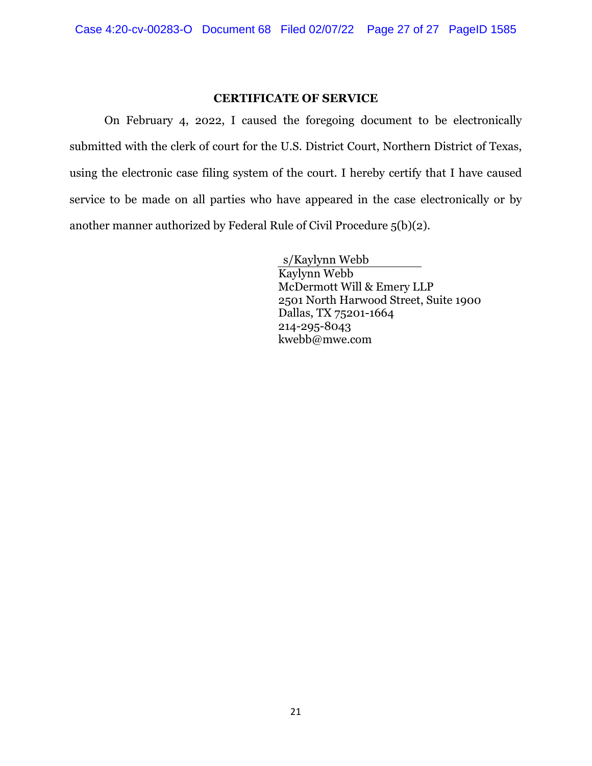#### **CERTIFICATE OF SERVICE**

On February 4, 2022, I caused the foregoing document to be electronically submitted with the clerk of court for the U.S. District Court, Northern District of Texas, using the electronic case filing system of the court. I hereby certify that I have caused service to be made on all parties who have appeared in the case electronically or by another manner authorized by Federal Rule of Civil Procedure 5(b)(2).

> s/Kaylynn Webb Kaylynn Webb McDermott Will & Emery LLP 2501 North Harwood Street, Suite 1900 Dallas, TX 75201-1664 214-295-8043 kwebb@mwe.com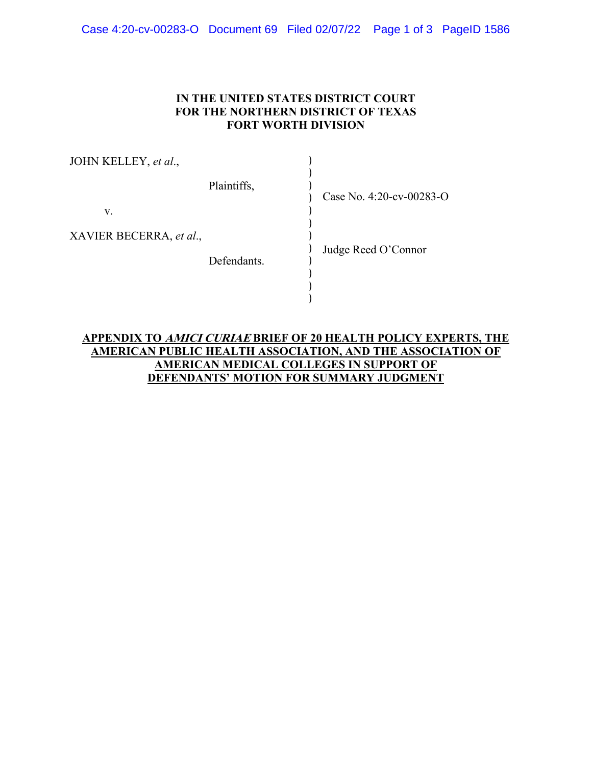| Case 4:20-cv-00283-O Document 69 Filed 02/07/22 Page 1 of 3 PageID 1586 |  |  |  |  |
|-------------------------------------------------------------------------|--|--|--|--|
|-------------------------------------------------------------------------|--|--|--|--|

#### **IN THE UNITED STATES DISTRICT COURT FOR THE NORTHERN DISTRICT OF TEXAS FORT WORTH DIVISION**

| JOHN KELLEY, et al.,    |             |                          |
|-------------------------|-------------|--------------------------|
|                         | Plaintiffs, | Case No. 4:20-cv-00283-O |
| V.                      |             |                          |
| XAVIER BECERRA, et al., |             |                          |
|                         | Defendants. | Judge Reed O'Connor      |
|                         |             |                          |
|                         |             |                          |

# **APPENDIX TO AMICI CURIAE BRIEF OF 20 HEALTH POLICY EXPERTS, THE AMERICAN PUBLIC HEALTH ASSOCIATION, AND THE ASSOCIATION OF AMERICAN MEDICAL COLLEGES IN SUPPORT OF DEFENDANTS' MOTION FOR SUMMARY JUDGMENT**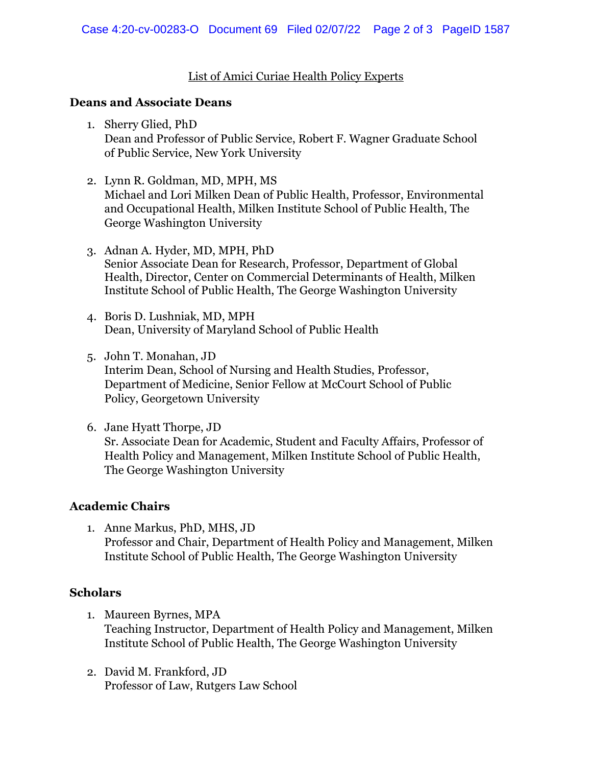# List of Amici Curiae Health Policy Experts

# **Deans and Associate Deans**

- 1. Sherry Glied, PhD Dean and Professor of Public Service, Robert F. Wagner Graduate School of Public Service, New York University
- 2. Lynn R. Goldman, MD, MPH, MS Michael and Lori Milken Dean of Public Health, Professor, Environmental and Occupational Health, Milken Institute School of Public Health, The George Washington University
- 3. Adnan A. Hyder, MD, MPH, PhD
	- Senior Associate Dean for Research, Professor, Department of Global Health, Director, Center on Commercial Determinants of Health, Milken Institute School of Public Health, The George Washington University
- 4. Boris D. Lushniak, MD, MPH Dean, University of Maryland School of Public Health
- 5. John T. Monahan, JD Interim Dean, School of Nursing and Health Studies, Professor, Department of Medicine, Senior Fellow at McCourt School of Public Policy, Georgetown University
- 6. Jane Hyatt Thorpe, JD Sr. Associate Dean for Academic, Student and Faculty Affairs, Professor of Health Policy and Management, Milken Institute School of Public Health, The George Washington University

# **Academic Chairs**

1. Anne Markus, PhD, MHS, JD Professor and Chair, Department of Health Policy and Management, Milken Institute School of Public Health, The George Washington University

# **Scholars**

- 1. Maureen Byrnes, MPA Teaching Instructor, Department of Health Policy and Management, Milken Institute School of Public Health, The George Washington University
- 2. David M. Frankford, JD Professor of Law, Rutgers Law School